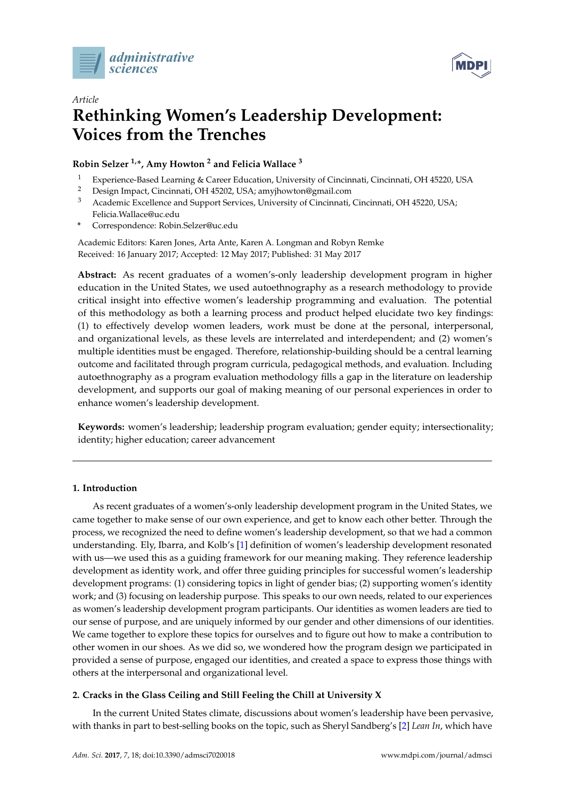



# *Article* **Rethinking Women's Leadership Development: Voices from the Trenches**

# **Robin Selzer 1,\*, Amy Howton <sup>2</sup> and Felicia Wallace <sup>3</sup>**

- <sup>1</sup> Experience-Based Learning & Career Education, University of Cincinnati, Cincinnati, OH 45220, USA
- <sup>2</sup> Design Impact, Cincinnati, OH 45202, USA; amyjhowton@gmail.com
- <sup>3</sup> Academic Excellence and Support Services, University of Cincinnati, Cincinnati, OH 45220, USA; Felicia.Wallace@uc.edu
- **\*** Correspondence: Robin.Selzer@uc.edu

Academic Editors: Karen Jones, Arta Ante, Karen A. Longman and Robyn Remke Received: 16 January 2017; Accepted: 12 May 2017; Published: 31 May 2017

**Abstract:** As recent graduates of a women's-only leadership development program in higher education in the United States, we used autoethnography as a research methodology to provide critical insight into effective women's leadership programming and evaluation. The potential of this methodology as both a learning process and product helped elucidate two key findings: (1) to effectively develop women leaders, work must be done at the personal, interpersonal, and organizational levels, as these levels are interrelated and interdependent; and (2) women's multiple identities must be engaged. Therefore, relationship-building should be a central learning outcome and facilitated through program curricula, pedagogical methods, and evaluation. Including autoethnography as a program evaluation methodology fills a gap in the literature on leadership development, and supports our goal of making meaning of our personal experiences in order to enhance women's leadership development.

**Keywords:** women's leadership; leadership program evaluation; gender equity; intersectionality; identity; higher education; career advancement

# **1. Introduction**

As recent graduates of a women's-only leadership development program in the United States, we came together to make sense of our own experience, and get to know each other better. Through the process, we recognized the need to define women's leadership development, so that we had a common understanding. Ely, Ibarra, and Kolb's [\[1\]](#page-17-0) definition of women's leadership development resonated with us—we used this as a guiding framework for our meaning making. They reference leadership development as identity work, and offer three guiding principles for successful women's leadership development programs: (1) considering topics in light of gender bias; (2) supporting women's identity work; and (3) focusing on leadership purpose. This speaks to our own needs, related to our experiences as women's leadership development program participants. Our identities as women leaders are tied to our sense of purpose, and are uniquely informed by our gender and other dimensions of our identities. We came together to explore these topics for ourselves and to figure out how to make a contribution to other women in our shoes. As we did so, we wondered how the program design we participated in provided a sense of purpose, engaged our identities, and created a space to express those things with others at the interpersonal and organizational level.

# **2. Cracks in the Glass Ceiling and Still Feeling the Chill at University X**

In the current United States climate, discussions about women's leadership have been pervasive, with thanks in part to best-selling books on the topic, such as Sheryl Sandberg's [\[2\]](#page-17-1) *Lean In*, which have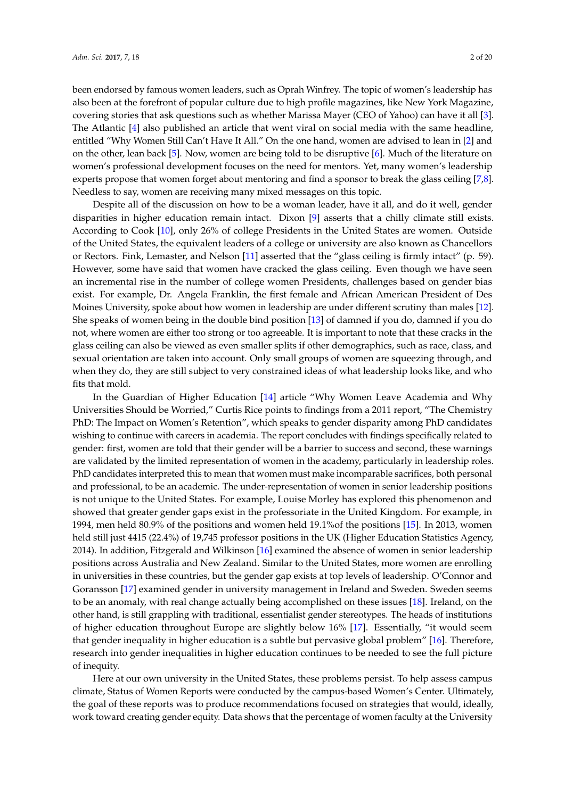been endorsed by famous women leaders, such as Oprah Winfrey. The topic of women's leadership has also been at the forefront of popular culture due to high profile magazines, like New York Magazine, covering stories that ask questions such as whether Marissa Mayer (CEO of Yahoo) can have it all [\[3\]](#page-17-2). The Atlantic [\[4\]](#page-17-3) also published an article that went viral on social media with the same headline, entitled "Why Women Still Can't Have It All." On the one hand, women are advised to lean in [\[2\]](#page-17-1) and on the other, lean back [\[5\]](#page-17-4). Now, women are being told to be disruptive [\[6\]](#page-17-5). Much of the literature on

women's professional development focuses on the need for mentors. Yet, many women's leadership experts propose that women forget about mentoring and find a sponsor to break the glass ceiling [\[7](#page-17-6)[,8\]](#page-17-7). Needless to say, women are receiving many mixed messages on this topic.

Despite all of the discussion on how to be a woman leader, have it all, and do it well, gender disparities in higher education remain intact. Dixon [\[9\]](#page-18-0) asserts that a chilly climate still exists. According to Cook [\[10\]](#page-18-1), only 26% of college Presidents in the United States are women. Outside of the United States, the equivalent leaders of a college or university are also known as Chancellors or Rectors. Fink, Lemaster, and Nelson [\[11\]](#page-18-2) asserted that the "glass ceiling is firmly intact" (p. 59). However, some have said that women have cracked the glass ceiling. Even though we have seen an incremental rise in the number of college women Presidents, challenges based on gender bias exist. For example, Dr. Angela Franklin, the first female and African American President of Des Moines University, spoke about how women in leadership are under different scrutiny than males [\[12\]](#page-18-3). She speaks of women being in the double bind position [\[13\]](#page-18-4) of damned if you do, damned if you do not, where women are either too strong or too agreeable. It is important to note that these cracks in the glass ceiling can also be viewed as even smaller splits if other demographics, such as race, class, and sexual orientation are taken into account. Only small groups of women are squeezing through, and when they do, they are still subject to very constrained ideas of what leadership looks like, and who fits that mold.

In the Guardian of Higher Education [\[14\]](#page-18-5) article "Why Women Leave Academia and Why Universities Should be Worried," Curtis Rice points to findings from a 2011 report, "The Chemistry PhD: The Impact on Women's Retention", which speaks to gender disparity among PhD candidates wishing to continue with careers in academia. The report concludes with findings specifically related to gender: first, women are told that their gender will be a barrier to success and second, these warnings are validated by the limited representation of women in the academy, particularly in leadership roles. PhD candidates interpreted this to mean that women must make incomparable sacrifices, both personal and professional, to be an academic. The under-representation of women in senior leadership positions is not unique to the United States. For example, Louise Morley has explored this phenomenon and showed that greater gender gaps exist in the professoriate in the United Kingdom. For example, in 1994, men held 80.9% of the positions and women held 19.1%of the positions [\[15\]](#page-18-6). In 2013, women held still just 4415 (22.4%) of 19,745 professor positions in the UK (Higher Education Statistics Agency, 2014). In addition, Fitzgerald and Wilkinson [\[16\]](#page-18-7) examined the absence of women in senior leadership positions across Australia and New Zealand. Similar to the United States, more women are enrolling in universities in these countries, but the gender gap exists at top levels of leadership. O'Connor and Goransson [\[17\]](#page-18-8) examined gender in university management in Ireland and Sweden. Sweden seems to be an anomaly, with real change actually being accomplished on these issues [\[18\]](#page-18-9). Ireland, on the other hand, is still grappling with traditional, essentialist gender stereotypes. The heads of institutions of higher education throughout Europe are slightly below 16% [\[17\]](#page-18-8). Essentially, "it would seem that gender inequality in higher education is a subtle but pervasive global problem" [\[16\]](#page-18-7). Therefore, research into gender inequalities in higher education continues to be needed to see the full picture of inequity.

Here at our own university in the United States, these problems persist. To help assess campus climate, Status of Women Reports were conducted by the campus-based Women's Center. Ultimately, the goal of these reports was to produce recommendations focused on strategies that would, ideally, work toward creating gender equity. Data shows that the percentage of women faculty at the University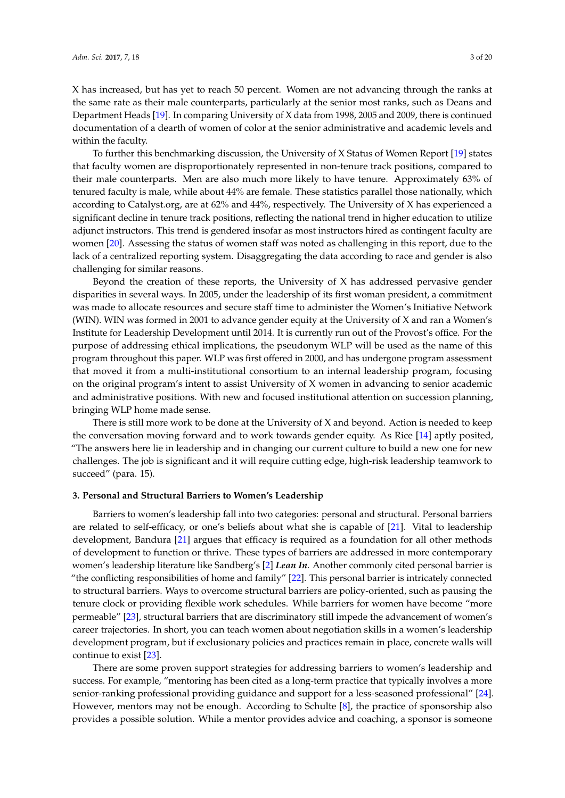X has increased, but has yet to reach 50 percent. Women are not advancing through the ranks at the same rate as their male counterparts, particularly at the senior most ranks, such as Deans and Department Heads [\[19\]](#page-18-10). In comparing University of X data from 1998, 2005 and 2009, there is continued documentation of a dearth of women of color at the senior administrative and academic levels and within the faculty.

To further this benchmarking discussion, the University of X Status of Women Report [\[19\]](#page-18-10) states that faculty women are disproportionately represented in non-tenure track positions, compared to their male counterparts. Men are also much more likely to have tenure. Approximately 63% of tenured faculty is male, while about 44% are female. These statistics parallel those nationally, which according to Catalyst.org, are at 62% and 44%, respectively. The University of X has experienced a significant decline in tenure track positions, reflecting the national trend in higher education to utilize adjunct instructors. This trend is gendered insofar as most instructors hired as contingent faculty are women [\[20\]](#page-18-11). Assessing the status of women staff was noted as challenging in this report, due to the lack of a centralized reporting system. Disaggregating the data according to race and gender is also challenging for similar reasons.

Beyond the creation of these reports, the University of  $X$  has addressed pervasive gender disparities in several ways. In 2005, under the leadership of its first woman president, a commitment was made to allocate resources and secure staff time to administer the Women's Initiative Network (WIN). WIN was formed in 2001 to advance gender equity at the University of X and ran a Women's Institute for Leadership Development until 2014. It is currently run out of the Provost's office. For the purpose of addressing ethical implications, the pseudonym WLP will be used as the name of this program throughout this paper. WLP was first offered in 2000, and has undergone program assessment that moved it from a multi-institutional consortium to an internal leadership program, focusing on the original program's intent to assist University of X women in advancing to senior academic and administrative positions. With new and focused institutional attention on succession planning, bringing WLP home made sense.

There is still more work to be done at the University of X and beyond. Action is needed to keep the conversation moving forward and to work towards gender equity. As Rice [\[14\]](#page-18-5) aptly posited, "The answers here lie in leadership and in changing our current culture to build a new one for new challenges. The job is significant and it will require cutting edge, high-risk leadership teamwork to succeed" (para. 15).

### **3. Personal and Structural Barriers to Women's Leadership**

Barriers to women's leadership fall into two categories: personal and structural. Personal barriers are related to self-efficacy, or one's beliefs about what she is capable of [\[21\]](#page-18-12). Vital to leadership development, Bandura [\[21\]](#page-18-12) argues that efficacy is required as a foundation for all other methods of development to function or thrive. These types of barriers are addressed in more contemporary women's leadership literature like Sandberg's [\[2\]](#page-17-1) *Lean In*. Another commonly cited personal barrier is "the conflicting responsibilities of home and family" [\[22\]](#page-18-13). This personal barrier is intricately connected to structural barriers. Ways to overcome structural barriers are policy-oriented, such as pausing the tenure clock or providing flexible work schedules. While barriers for women have become "more permeable" [\[23\]](#page-18-14), structural barriers that are discriminatory still impede the advancement of women's career trajectories. In short, you can teach women about negotiation skills in a women's leadership development program, but if exclusionary policies and practices remain in place, concrete walls will continue to exist [\[23\]](#page-18-14).

There are some proven support strategies for addressing barriers to women's leadership and success. For example, "mentoring has been cited as a long-term practice that typically involves a more senior-ranking professional providing guidance and support for a less-seasoned professional" [\[24\]](#page-18-15). However, mentors may not be enough. According to Schulte [\[8\]](#page-17-7), the practice of sponsorship also provides a possible solution. While a mentor provides advice and coaching, a sponsor is someone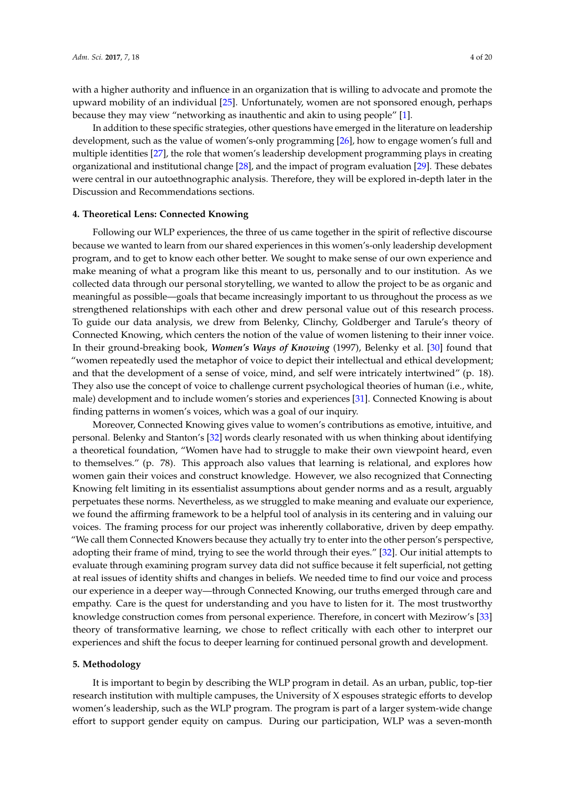with a higher authority and influence in an organization that is willing to advocate and promote the upward mobility of an individual [\[25\]](#page-18-16). Unfortunately, women are not sponsored enough, perhaps because they may view "networking as inauthentic and akin to using people" [\[1\]](#page-17-0).

In addition to these specific strategies, other questions have emerged in the literature on leadership development, such as the value of women's-only programming [\[26\]](#page-18-17), how to engage women's full and multiple identities [\[27\]](#page-18-18), the role that women's leadership development programming plays in creating organizational and institutional change [\[28\]](#page-18-19), and the impact of program evaluation [\[29\]](#page-18-20). These debates were central in our autoethnographic analysis. Therefore, they will be explored in-depth later in the Discussion and Recommendations sections.

# **4. Theoretical Lens: Connected Knowing**

Following our WLP experiences, the three of us came together in the spirit of reflective discourse because we wanted to learn from our shared experiences in this women's-only leadership development program, and to get to know each other better. We sought to make sense of our own experience and make meaning of what a program like this meant to us, personally and to our institution. As we collected data through our personal storytelling, we wanted to allow the project to be as organic and meaningful as possible—goals that became increasingly important to us throughout the process as we strengthened relationships with each other and drew personal value out of this research process. To guide our data analysis, we drew from Belenky, Clinchy, Goldberger and Tarule's theory of Connected Knowing, which centers the notion of the value of women listening to their inner voice. In their ground-breaking book, *Women's Ways of Knowing* (1997), Belenky et al. [\[30\]](#page-18-21) found that "women repeatedly used the metaphor of voice to depict their intellectual and ethical development; and that the development of a sense of voice, mind, and self were intricately intertwined" (p. 18). They also use the concept of voice to challenge current psychological theories of human (i.e., white, male) development and to include women's stories and experiences [\[31\]](#page-18-22). Connected Knowing is about finding patterns in women's voices, which was a goal of our inquiry.

Moreover, Connected Knowing gives value to women's contributions as emotive, intuitive, and personal. Belenky and Stanton's [\[32\]](#page-18-23) words clearly resonated with us when thinking about identifying a theoretical foundation, "Women have had to struggle to make their own viewpoint heard, even to themselves." (p. 78). This approach also values that learning is relational, and explores how women gain their voices and construct knowledge. However, we also recognized that Connecting Knowing felt limiting in its essentialist assumptions about gender norms and as a result, arguably perpetuates these norms. Nevertheless, as we struggled to make meaning and evaluate our experience, we found the affirming framework to be a helpful tool of analysis in its centering and in valuing our voices. The framing process for our project was inherently collaborative, driven by deep empathy. "We call them Connected Knowers because they actually try to enter into the other person's perspective, adopting their frame of mind, trying to see the world through their eyes." [\[32\]](#page-18-23). Our initial attempts to evaluate through examining program survey data did not suffice because it felt superficial, not getting at real issues of identity shifts and changes in beliefs. We needed time to find our voice and process our experience in a deeper way—through Connected Knowing, our truths emerged through care and empathy. Care is the quest for understanding and you have to listen for it. The most trustworthy knowledge construction comes from personal experience. Therefore, in concert with Mezirow's [\[33\]](#page-19-0) theory of transformative learning, we chose to reflect critically with each other to interpret our experiences and shift the focus to deeper learning for continued personal growth and development.

### **5. Methodology**

It is important to begin by describing the WLP program in detail. As an urban, public, top-tier research institution with multiple campuses, the University of X espouses strategic efforts to develop women's leadership, such as the WLP program. The program is part of a larger system-wide change effort to support gender equity on campus. During our participation, WLP was a seven-month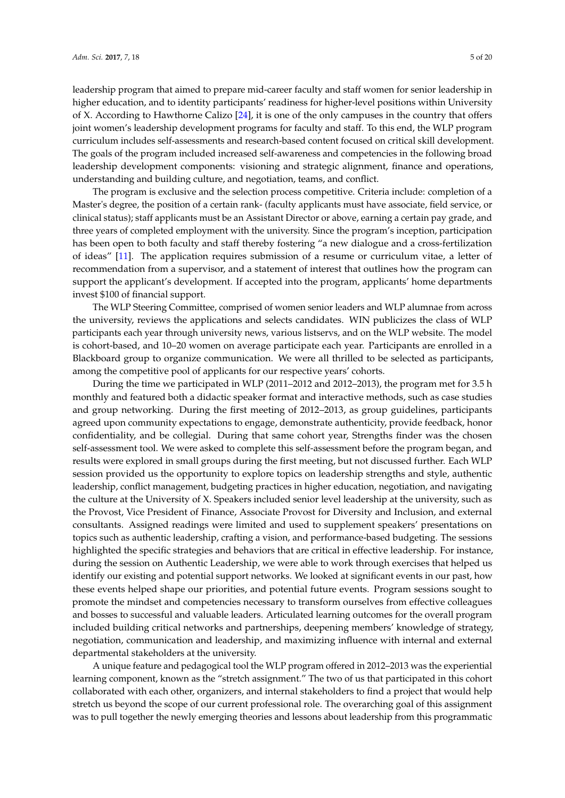leadership program that aimed to prepare mid-career faculty and staff women for senior leadership in higher education, and to identity participants' readiness for higher-level positions within University of X. According to Hawthorne Calizo [\[24\]](#page-18-15), it is one of the only campuses in the country that offers joint women's leadership development programs for faculty and staff. To this end, the WLP program curriculum includes self-assessments and research-based content focused on critical skill development. The goals of the program included increased self-awareness and competencies in the following broad

understanding and building culture, and negotiation, teams, and conflict. The program is exclusive and the selection process competitive. Criteria include: completion of a Master's degree, the position of a certain rank- (faculty applicants must have associate, field service, or clinical status); staff applicants must be an Assistant Director or above, earning a certain pay grade, and three years of completed employment with the university. Since the program's inception, participation has been open to both faculty and staff thereby fostering "a new dialogue and a cross-fertilization of ideas" [\[11\]](#page-18-2). The application requires submission of a resume or curriculum vitae, a letter of recommendation from a supervisor, and a statement of interest that outlines how the program can support the applicant's development. If accepted into the program, applicants' home departments invest \$100 of financial support.

leadership development components: visioning and strategic alignment, finance and operations,

The WLP Steering Committee, comprised of women senior leaders and WLP alumnae from across the university, reviews the applications and selects candidates. WIN publicizes the class of WLP participants each year through university news, various listservs, and on the WLP website. The model is cohort-based, and 10–20 women on average participate each year. Participants are enrolled in a Blackboard group to organize communication. We were all thrilled to be selected as participants, among the competitive pool of applicants for our respective years' cohorts.

During the time we participated in WLP (2011–2012 and 2012–2013), the program met for 3.5 h monthly and featured both a didactic speaker format and interactive methods, such as case studies and group networking. During the first meeting of 2012–2013, as group guidelines, participants agreed upon community expectations to engage, demonstrate authenticity, provide feedback, honor confidentiality, and be collegial. During that same cohort year, Strengths finder was the chosen self-assessment tool. We were asked to complete this self-assessment before the program began, and results were explored in small groups during the first meeting, but not discussed further. Each WLP session provided us the opportunity to explore topics on leadership strengths and style, authentic leadership, conflict management, budgeting practices in higher education, negotiation, and navigating the culture at the University of X. Speakers included senior level leadership at the university, such as the Provost, Vice President of Finance, Associate Provost for Diversity and Inclusion, and external consultants. Assigned readings were limited and used to supplement speakers' presentations on topics such as authentic leadership, crafting a vision, and performance-based budgeting. The sessions highlighted the specific strategies and behaviors that are critical in effective leadership. For instance, during the session on Authentic Leadership, we were able to work through exercises that helped us identify our existing and potential support networks. We looked at significant events in our past, how these events helped shape our priorities, and potential future events. Program sessions sought to promote the mindset and competencies necessary to transform ourselves from effective colleagues and bosses to successful and valuable leaders. Articulated learning outcomes for the overall program included building critical networks and partnerships, deepening members' knowledge of strategy, negotiation, communication and leadership, and maximizing influence with internal and external departmental stakeholders at the university.

A unique feature and pedagogical tool the WLP program offered in 2012–2013 was the experiential learning component, known as the "stretch assignment." The two of us that participated in this cohort collaborated with each other, organizers, and internal stakeholders to find a project that would help stretch us beyond the scope of our current professional role. The overarching goal of this assignment was to pull together the newly emerging theories and lessons about leadership from this programmatic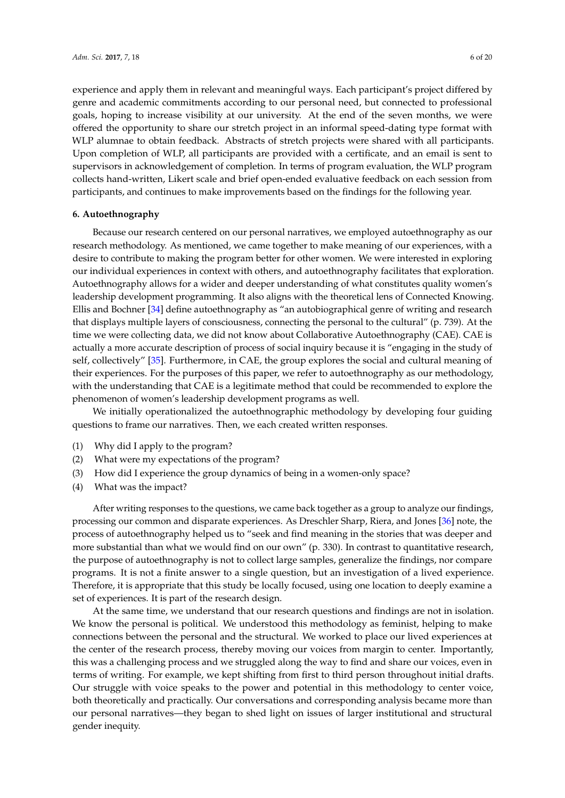experience and apply them in relevant and meaningful ways. Each participant's project differed by genre and academic commitments according to our personal need, but connected to professional goals, hoping to increase visibility at our university. At the end of the seven months, we were offered the opportunity to share our stretch project in an informal speed-dating type format with WLP alumnae to obtain feedback. Abstracts of stretch projects were shared with all participants. Upon completion of WLP, all participants are provided with a certificate, and an email is sent to supervisors in acknowledgement of completion. In terms of program evaluation, the WLP program collects hand-written, Likert scale and brief open-ended evaluative feedback on each session from participants, and continues to make improvements based on the findings for the following year.

# **6. Autoethnography**

Because our research centered on our personal narratives, we employed autoethnography as our research methodology. As mentioned, we came together to make meaning of our experiences, with a desire to contribute to making the program better for other women. We were interested in exploring our individual experiences in context with others, and autoethnography facilitates that exploration. Autoethnography allows for a wider and deeper understanding of what constitutes quality women's leadership development programming. It also aligns with the theoretical lens of Connected Knowing. Ellis and Bochner [\[34\]](#page-19-1) define autoethnography as "an autobiographical genre of writing and research that displays multiple layers of consciousness, connecting the personal to the cultural" (p. 739). At the time we were collecting data, we did not know about Collaborative Autoethnography (CAE). CAE is actually a more accurate description of process of social inquiry because it is "engaging in the study of self, collectively" [\[35\]](#page-19-2). Furthermore, in CAE, the group explores the social and cultural meaning of their experiences. For the purposes of this paper, we refer to autoethnography as our methodology, with the understanding that CAE is a legitimate method that could be recommended to explore the phenomenon of women's leadership development programs as well.

We initially operationalized the autoethnographic methodology by developing four guiding questions to frame our narratives. Then, we each created written responses.

- (1) Why did I apply to the program?
- (2) What were my expectations of the program?
- (3) How did I experience the group dynamics of being in a women-only space?
- (4) What was the impact?

After writing responses to the questions, we came back together as a group to analyze our findings, processing our common and disparate experiences. As Dreschler Sharp, Riera, and Jones [\[36\]](#page-19-3) note, the process of autoethnography helped us to "seek and find meaning in the stories that was deeper and more substantial than what we would find on our own" (p. 330). In contrast to quantitative research, the purpose of autoethnography is not to collect large samples, generalize the findings, nor compare programs. It is not a finite answer to a single question, but an investigation of a lived experience. Therefore, it is appropriate that this study be locally focused, using one location to deeply examine a set of experiences. It is part of the research design.

At the same time, we understand that our research questions and findings are not in isolation. We know the personal is political. We understood this methodology as feminist, helping to make connections between the personal and the structural. We worked to place our lived experiences at the center of the research process, thereby moving our voices from margin to center. Importantly, this was a challenging process and we struggled along the way to find and share our voices, even in terms of writing. For example, we kept shifting from first to third person throughout initial drafts. Our struggle with voice speaks to the power and potential in this methodology to center voice, both theoretically and practically. Our conversations and corresponding analysis became more than our personal narratives—they began to shed light on issues of larger institutional and structural gender inequity.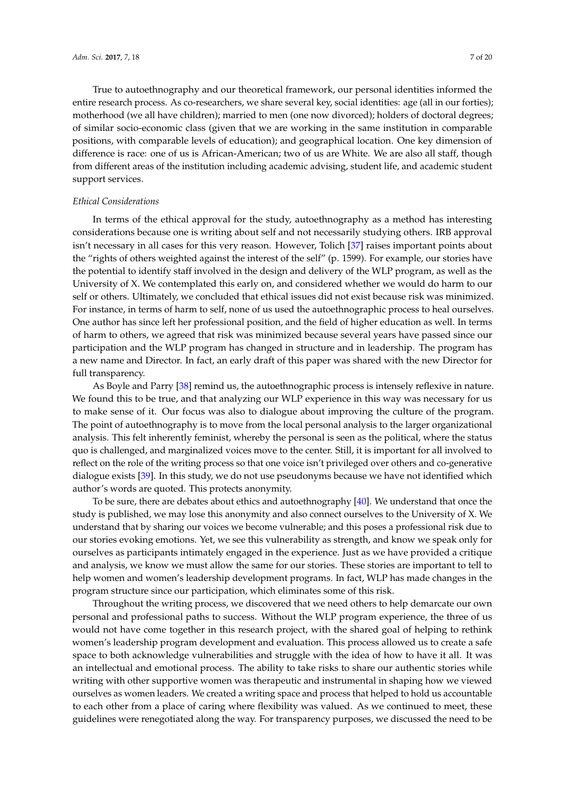True to autoethnography and our theoretical framework, our personal identities informed the entire research process. As co-researchers, we share several key, social identities: age (all in our forties); motherhood (we all have children); married to men (one now divorced); holders of doctoral degrees; of similar socio-economic class (given that we are working in the same institution in comparable positions, with comparable levels of education); and geographical location. One key dimension of difference is race: one of us is African-American; two of us are White. We are also all staff, though from different areas of the institution including academic advising, student life, and academic student support services.

# *Ethical Considerations*

In terms of the ethical approval for the study, autoethnography as a method has interesting considerations because one is writing about self and not necessarily studying others. IRB approval isn't necessary in all cases for this very reason. However, Tolich [\[37\]](#page-19-4) raises important points about the "rights of others weighted against the interest of the self" (p. 1599). For example, our stories have the potential to identify staff involved in the design and delivery of the WLP program, as well as the University of X. We contemplated this early on, and considered whether we would do harm to our self or others. Ultimately, we concluded that ethical issues did not exist because risk was minimized. For instance, in terms of harm to self, none of us used the autoethnographic process to heal ourselves. One author has since left her professional position, and the field of higher education as well. In terms of harm to others, we agreed that risk was minimized because several years have passed since our participation and the WLP program has changed in structure and in leadership. The program has a new name and Director. In fact, an early draft of this paper was shared with the new Director for full transparency.

As Boyle and Parry [\[38\]](#page-19-5) remind us, the autoethnographic process is intensely reflexive in nature. We found this to be true, and that analyzing our WLP experience in this way was necessary for us to make sense of it. Our focus was also to dialogue about improving the culture of the program. The point of autoethnography is to move from the local personal analysis to the larger organizational analysis. This felt inherently feminist, whereby the personal is seen as the political, where the status quo is challenged, and marginalized voices move to the center. Still, it is important for all involved to reflect on the role of the writing process so that one voice isn't privileged over others and co-generative dialogue exists [\[39\]](#page-19-6). In this study, we do not use pseudonyms because we have not identified which author's words are quoted. This protects anonymity.

To be sure, there are debates about ethics and autoethnography [\[40\]](#page-19-7). We understand that once the study is published, we may lose this anonymity and also connect ourselves to the University of X. We understand that by sharing our voices we become vulnerable; and this poses a professional risk due to our stories evoking emotions. Yet, we see this vulnerability as strength, and know we speak only for ourselves as participants intimately engaged in the experience. Just as we have provided a critique and analysis, we know we must allow the same for our stories. These stories are important to tell to help women and women's leadership development programs. In fact, WLP has made changes in the program structure since our participation, which eliminates some of this risk.

Throughout the writing process, we discovered that we need others to help demarcate our own personal and professional paths to success. Without the WLP program experience, the three of us would not have come together in this research project, with the shared goal of helping to rethink women's leadership program development and evaluation. This process allowed us to create a safe space to both acknowledge vulnerabilities and struggle with the idea of how to have it all. It was an intellectual and emotional process. The ability to take risks to share our authentic stories while writing with other supportive women was therapeutic and instrumental in shaping how we viewed ourselves as women leaders. We created a writing space and process that helped to hold us accountable to each other from a place of caring where flexibility was valued. As we continued to meet, these guidelines were renegotiated along the way. For transparency purposes, we discussed the need to be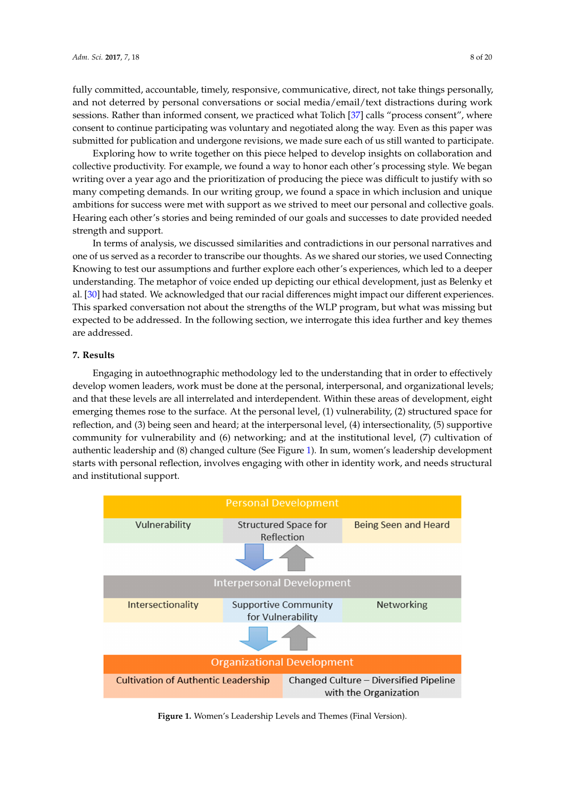fully committed, accountable, timely, responsive, communicative, direct, not take things personally, and not deterred by personal conversations or social media/email/text distractions during work sessions. Rather than informed consent, we practiced what Tolich [\[37\]](#page-19-4) calls "process consent", where consent to continue participating was voluntary and negotiated along the way. Even as this paper was submitted for publication and undergone revisions, we made sure each of us still wanted to participate.

Exploring how to write together on this piece helped to develop insights on collaboration and collective productivity. For example, we found a way to honor each other's processing style. We began writing over a year ago and the prioritization of producing the piece was difficult to justify with so many competing demands. In our writing group*,* we found a space in which inclusion and unique ambitions for success were met with support as we strived to meet our personal and collective goals. Hearing each other's stories and being reminded of our goals and successes to date provided needed strength and support. with some that is storied and being reminded or our goals and successes to date provided not gunianus support.  $\mathcal{L}$ 

In terms of analysis, we discussed similarities and contradictions in our personal narratives and one of us served as a recorder to transcribe our thoughts. As we shared our stories, we used Connecting Knowing to test our assumptions and further explore each other's experiences, which led to a deeper understanding. The metaphor of voice ended up depicting our ethical development, just as Belenky et al. [\[30\]](#page-18-21) had stated. We acknowledged that our racial differences might impact our different experiences. This sparked conversation not about the strengths of the WLP program, but what was missing but expected to be addressed. In the following section, we interrogate this idea further and key themes are addressed. in terms or analysis, we discussed similarities and contradictions in our personal narratives different experiences. This space conversation not about the strengths of the Strengths of the WLP program, but  $w_{\text{inter}}$  and following section, we interrogate the following section, we interregate the following section, we interval  $w_{\text{inter}}$ 

#### **7. Results**  $f(x)$

Engaging in autoethnographic methodology led to the understanding that in order to effectively **7. Results**  develop women leaders, work must be done at the personal, interpersonal, and organizational levels; and that these levels are all interrelated and interdependent. Within these areas of development, eight emerging themes rose to the surface. At the personal level, (1) vulnerability, (2) structured space for reflection, and (3) being seen and heard; at the interpersonal level, (4) intersectionality, (5) supportive community for vulnerability and (6) networking; and at the institutional level, (7) cultivation of authentic leadership and (8) changed culture (See Figure [1\)](#page-7-0). In sum, women's leadership development starts with personal reflection, involves engaging with other in identity work, and needs structural and institutional support. of the personal reflection, involves engaging with other in identity work, and needs structure

<span id="page-7-0"></span>

**Figure 1.** Women's Leadership Levels and Themes (Final Version). **Figure 1.** Women's Leadership Levels and Themes (Final Version).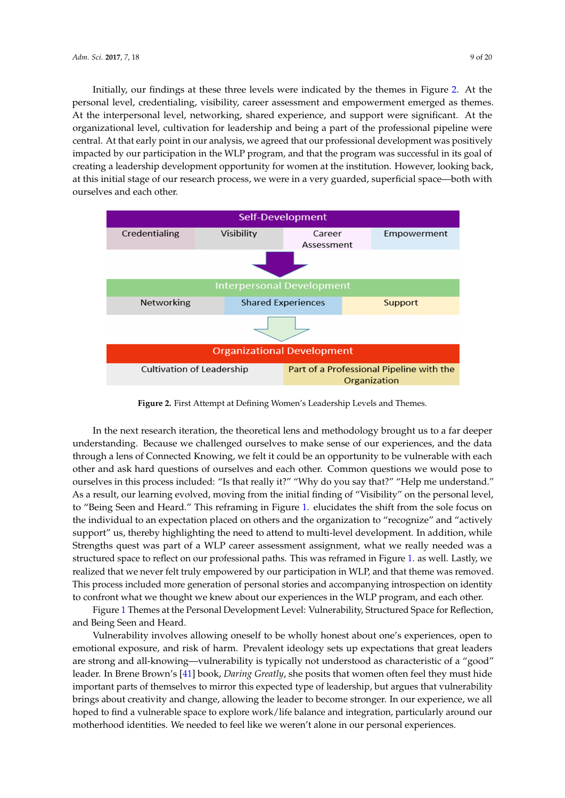Initially, our findings at these three levels were indicated by the themes in Figure [2.](#page-8-0) At the personal level, credentialing, visibility, career assessment and empowerment emerged as themes. At the interpersonal level, networking, shared experience, and support were significant. At the organizational level, cultivation for leadership and being a part of the professional pipeline were central. At that early point in our analysis, we agreed that our professional development was positively impacted by our participation in the WLP program, and that the program was successful in its goal of creating a leadership development opportunity for women at the institution. However, looking back, at this initial stage of our research process, we were in a very guarded, superficial space—both with ourselves and each other.

<span id="page-8-0"></span>

**Figure 2.** First Attempt at Defining Women's Leadership Levels and Themes. **Figure 2.** First Attempt at Defining Women's Leadership Levels and Themes.

In the next research iteration, the theoretical lens and methodology brought us to a far deeper understanding. Because we challenged ourselves to make sense of our experiences, and the data through a lens of Connected Knowing, we felt it could be an opportunity to be vulnerable with each other and ask hard questions of ourselves and each other. Common questions we would pose to  $\frac{1}{\sqrt{1 + \frac{1}{\sqrt{1 + \frac{1}{\sqrt{1 + \frac{1}{\sqrt{1 + \frac{1}{\sqrt{1 + \frac{1}{\sqrt{1 + \frac{1}{\sqrt{1 + \frac{1}{\sqrt{1 + \frac{1}{\sqrt{1 + \frac{1}{\sqrt{1 + \frac{1}{\sqrt{1 + \frac{1}{\sqrt{1 + \frac{1}{\sqrt{1 + \frac{1}{\sqrt{1 + \frac{1}{\sqrt{1 + \frac{1}{\sqrt{1 + \frac{1}{\sqrt{1 + \frac{1}{\sqrt{1 + \frac{1}{\sqrt{1 + \frac{1}{\sqrt{1 + \frac{1}{\sqrt{1 + \frac{1}{\sqrt{1 +$ ourselves in this process included: "Is that really it?" "Why do you say that?" "Help me understand." As a result, our learning evolved, moving from the initial finding of "Visibility" on the personal level, to "Being Seen and Heard." This reframing in Figure 1. elucidates the shift from the sole focus on the individual to an expectation placed on others and the organization to "recognize" and "actively support" us, thereby highlighting the need to attend to multi-level development. In addition, while Strengths quest was part of a WLP career assessment assignment, what we really needed was a structured space to reflect on our professional paths. This was reframed in Figure [1.](#page-7-0) as well. Lastly, we realized that we never felt truly empowered by our participation in WLP, and that theme was removed. This process included more generation of personal stories and accompanying introspection on identity  $\frac{1}{\sqrt{1 + \frac{1}{\sqrt{1 + \frac{1}{\sqrt{1 + \frac{1}{\sqrt{1 + \frac{1}{\sqrt{1 + \frac{1}{\sqrt{1 + \frac{1}{\sqrt{1 + \frac{1}{\sqrt{1 + \frac{1}{\sqrt{1 + \frac{1}{\sqrt{1 + \frac{1}{\sqrt{1 + \frac{1}{\sqrt{1 + \frac{1}{\sqrt{1 + \frac{1}{\sqrt{1 + \frac{1}{\sqrt{1 + \frac{1}{\sqrt{1 + \frac{1}{\sqrt{1 + \frac{1}{\sqrt{1 + \frac{1}{\sqrt{1 + \frac{1}{\sqrt{1 + \frac{1}{\sqrt{1 + \frac{1}{\sqrt{1 +$ to confront what we thought we knew about our experiences in the WLP program, and each other.

Figure 1 Themes at the Personal Development Level: V[uln](#page-7-0)erability, Structured Space for Reflection, and Being Seen and Heard. Prevalent ideology sets up that great leaders are great leaders are  $\alpha$ 

Vulnerability involves allowing oneself to be wholly honest about one's experiences, open to emotional exposure, and risk of harm. Prevalent ideology sets up expectations that great leaders are strong and all-knowing—vulnerability is typically not understood as characteristic of a "good" leader. In Brene Brown's [\[41\]](#page-19-8) book*, Daring Greatly,* she posits that women often feel they must hide important parts of themselves to mirror this expected type of leadership, but argues that vulnerability brings about creativity and change, allowing the leader to become stronger. In our experience, we all having a structured space to reflect on our vulnerabilities as mothers and was mothered time that was mother hoped to find a vulnerable space to explore work/life balance and integration, particularly around our motherhood identities. We needed to feel like we weren't alone in our personal experiences.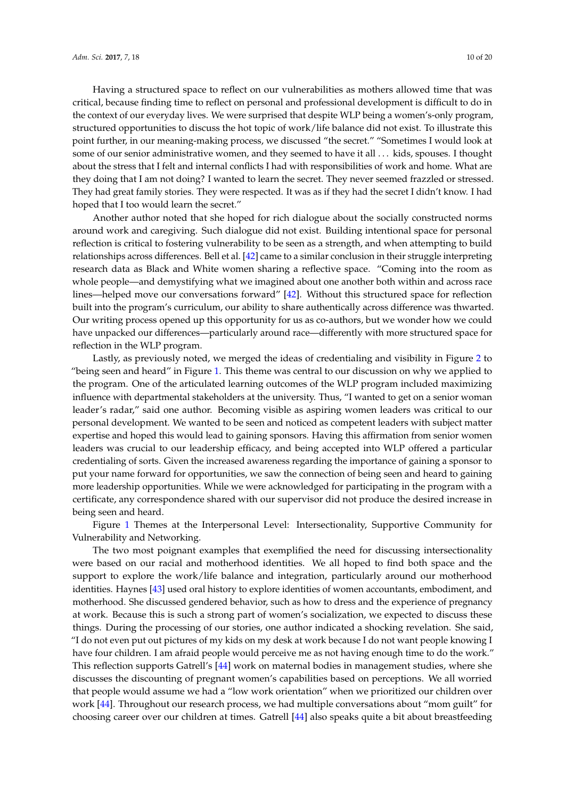Having a structured space to reflect on our vulnerabilities as mothers allowed time that was critical, because finding time to reflect on personal and professional development is difficult to do in the context of our everyday lives. We were surprised that despite WLP being a women's-only program, structured opportunities to discuss the hot topic of work/life balance did not exist. To illustrate this point further, in our meaning-making process, we discussed "the secret." "Sometimes I would look at some of our senior administrative women, and they seemed to have it all . . . kids, spouses. I thought about the stress that I felt and internal conflicts I had with responsibilities of work and home. What are they doing that I am not doing? I wanted to learn the secret. They never seemed frazzled or stressed. They had great family stories. They were respected. It was as if they had the secret I didn't know. I had hoped that I too would learn the secret."

Another author noted that she hoped for rich dialogue about the socially constructed norms around work and caregiving. Such dialogue did not exist. Building intentional space for personal reflection is critical to fostering vulnerability to be seen as a strength, and when attempting to build relationships across differences. Bell et al. [\[42\]](#page-19-9) came to a similar conclusion in their struggle interpreting research data as Black and White women sharing a reflective space. "Coming into the room as whole people—and demystifying what we imagined about one another both within and across race lines—helped move our conversations forward" [\[42\]](#page-19-9). Without this structured space for reflection built into the program's curriculum, our ability to share authentically across difference was thwarted. Our writing process opened up this opportunity for us as co-authors, but we wonder how we could have unpacked our differences—particularly around race—differently with more structured space for reflection in the WLP program.

Lastly, as previously noted, we merged the ideas of credentialing and visibility in Figure [2](#page-8-0) to "being seen and heard" in Figure [1.](#page-7-0) This theme was central to our discussion on why we applied to the program. One of the articulated learning outcomes of the WLP program included maximizing influence with departmental stakeholders at the university. Thus, "I wanted to get on a senior woman leader's radar," said one author. Becoming visible as aspiring women leaders was critical to our personal development. We wanted to be seen and noticed as competent leaders with subject matter expertise and hoped this would lead to gaining sponsors. Having this affirmation from senior women leaders was crucial to our leadership efficacy, and being accepted into WLP offered a particular credentialing of sorts. Given the increased awareness regarding the importance of gaining a sponsor to put your name forward for opportunities, we saw the connection of being seen and heard to gaining more leadership opportunities. While we were acknowledged for participating in the program with a certificate, any correspondence shared with our supervisor did not produce the desired increase in being seen and heard.

Figure [1](#page-7-0) Themes at the Interpersonal Level: Intersectionality, Supportive Community for Vulnerability and Networking.

The two most poignant examples that exemplified the need for discussing intersectionality were based on our racial and motherhood identities. We all hoped to find both space and the support to explore the work/life balance and integration, particularly around our motherhood identities. Haynes [\[43\]](#page-19-10) used oral history to explore identities of women accountants, embodiment, and motherhood. She discussed gendered behavior, such as how to dress and the experience of pregnancy at work. Because this is such a strong part of women's socialization, we expected to discuss these things. During the processing of our stories, one author indicated a shocking revelation. She said, "I do not even put out pictures of my kids on my desk at work because I do not want people knowing I have four children. I am afraid people would perceive me as not having enough time to do the work." This reflection supports Gatrell's [\[44\]](#page-19-11) work on maternal bodies in management studies, where she discusses the discounting of pregnant women's capabilities based on perceptions. We all worried that people would assume we had a "low work orientation" when we prioritized our children over work [\[44\]](#page-19-11). Throughout our research process, we had multiple conversations about "mom guilt" for choosing career over our children at times. Gatrell [\[44\]](#page-19-11) also speaks quite a bit about breastfeeding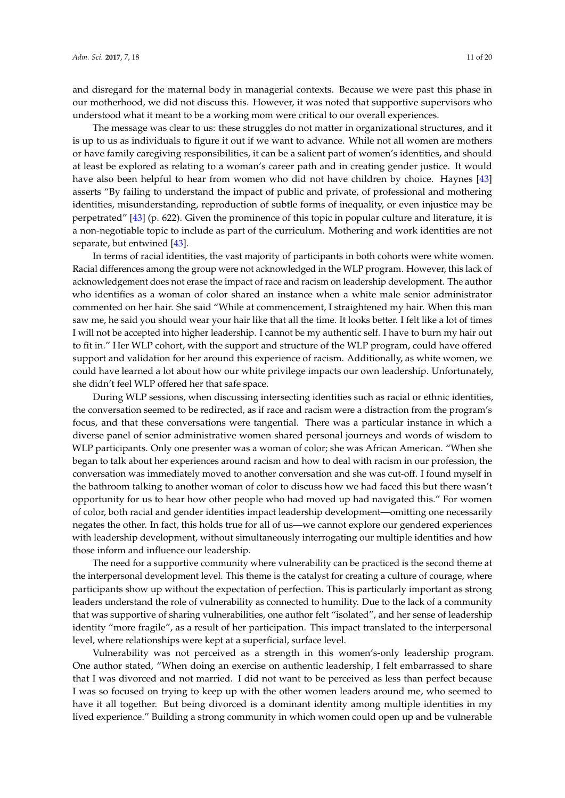and disregard for the maternal body in managerial contexts. Because we were past this phase in our motherhood, we did not discuss this. However, it was noted that supportive supervisors who understood what it meant to be a working mom were critical to our overall experiences.

The message was clear to us: these struggles do not matter in organizational structures, and it is up to us as individuals to figure it out if we want to advance. While not all women are mothers or have family caregiving responsibilities, it can be a salient part of women's identities, and should at least be explored as relating to a woman's career path and in creating gender justice. It would have also been helpful to hear from women who did not have children by choice. Haynes [\[43\]](#page-19-10) asserts "By failing to understand the impact of public and private, of professional and mothering identities, misunderstanding, reproduction of subtle forms of inequality, or even injustice may be perpetrated" [\[43\]](#page-19-10) (p. 622). Given the prominence of this topic in popular culture and literature, it is a non-negotiable topic to include as part of the curriculum. Mothering and work identities are not separate, but entwined [\[43\]](#page-19-10).

In terms of racial identities, the vast majority of participants in both cohorts were white women. Racial differences among the group were not acknowledged in the WLP program. However, this lack of acknowledgement does not erase the impact of race and racism on leadership development. The author who identifies as a woman of color shared an instance when a white male senior administrator commented on her hair. She said "While at commencement, I straightened my hair. When this man saw me, he said you should wear your hair like that all the time. It looks better. I felt like a lot of times I will not be accepted into higher leadership. I cannot be my authentic self. I have to burn my hair out to fit in." Her WLP cohort, with the support and structure of the WLP program, could have offered support and validation for her around this experience of racism. Additionally, as white women, we could have learned a lot about how our white privilege impacts our own leadership. Unfortunately, she didn't feel WLP offered her that safe space.

During WLP sessions, when discussing intersecting identities such as racial or ethnic identities, the conversation seemed to be redirected, as if race and racism were a distraction from the program's focus, and that these conversations were tangential. There was a particular instance in which a diverse panel of senior administrative women shared personal journeys and words of wisdom to WLP participants. Only one presenter was a woman of color; she was African American. "When she began to talk about her experiences around racism and how to deal with racism in our profession, the conversation was immediately moved to another conversation and she was cut-off. I found myself in the bathroom talking to another woman of color to discuss how we had faced this but there wasn't opportunity for us to hear how other people who had moved up had navigated this." For women of color, both racial and gender identities impact leadership development—omitting one necessarily negates the other. In fact, this holds true for all of us—we cannot explore our gendered experiences with leadership development, without simultaneously interrogating our multiple identities and how those inform and influence our leadership.

The need for a supportive community where vulnerability can be practiced is the second theme at the interpersonal development level. This theme is the catalyst for creating a culture of courage, where participants show up without the expectation of perfection. This is particularly important as strong leaders understand the role of vulnerability as connected to humility. Due to the lack of a community that was supportive of sharing vulnerabilities, one author felt "isolated", and her sense of leadership identity "more fragile", as a result of her participation. This impact translated to the interpersonal level, where relationships were kept at a superficial, surface level.

Vulnerability was not perceived as a strength in this women's-only leadership program. One author stated, "When doing an exercise on authentic leadership, I felt embarrassed to share that I was divorced and not married. I did not want to be perceived as less than perfect because I was so focused on trying to keep up with the other women leaders around me, who seemed to have it all together. But being divorced is a dominant identity among multiple identities in my lived experience." Building a strong community in which women could open up and be vulnerable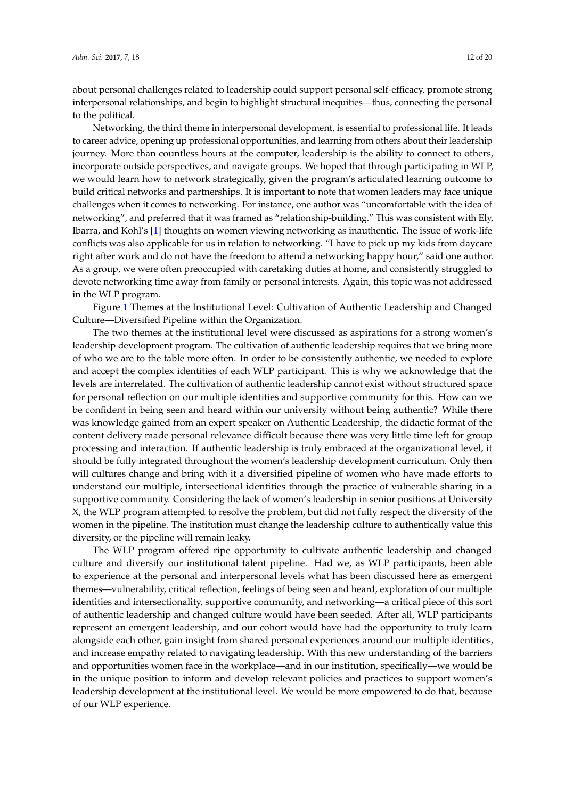about personal challenges related to leadership could support personal self-efficacy, promote strong interpersonal relationships, and begin to highlight structural inequities—thus, connecting the personal to the political.

Networking, the third theme in interpersonal development, is essential to professional life. It leads to career advice, opening up professional opportunities, and learning from others about their leadership journey. More than countless hours at the computer, leadership is the ability to connect to others, incorporate outside perspectives, and navigate groups. We hoped that through participating in WLP, we would learn how to network strategically, given the program's articulated learning outcome to build critical networks and partnerships. It is important to note that women leaders may face unique challenges when it comes to networking. For instance, one author was "uncomfortable with the idea of networking", and preferred that it was framed as "relationship-building." This was consistent with Ely, Ibarra, and Kohl's [\[1\]](#page-17-0) thoughts on women viewing networking as inauthentic. The issue of work-life conflicts was also applicable for us in relation to networking. "I have to pick up my kids from daycare right after work and do not have the freedom to attend a networking happy hour," said one author. As a group, we were often preoccupied with caretaking duties at home, and consistently struggled to devote networking time away from family or personal interests. Again, this topic was not addressed in the WLP program.

Figure [1](#page-7-0) Themes at the Institutional Level: Cultivation of Authentic Leadership and Changed Culture—Diversified Pipeline within the Organization.

The two themes at the institutional level were discussed as aspirations for a strong women's leadership development program. The cultivation of authentic leadership requires that we bring more of who we are to the table more often. In order to be consistently authentic, we needed to explore and accept the complex identities of each WLP participant. This is why we acknowledge that the levels are interrelated. The cultivation of authentic leadership cannot exist without structured space for personal reflection on our multiple identities and supportive community for this. How can we be confident in being seen and heard within our university without being authentic? While there was knowledge gained from an expert speaker on Authentic Leadership, the didactic format of the content delivery made personal relevance difficult because there was very little time left for group processing and interaction. If authentic leadership is truly embraced at the organizational level, it should be fully integrated throughout the women's leadership development curriculum. Only then will cultures change and bring with it a diversified pipeline of women who have made efforts to understand our multiple, intersectional identities through the practice of vulnerable sharing in a supportive community. Considering the lack of women's leadership in senior positions at University X, the WLP program attempted to resolve the problem, but did not fully respect the diversity of the women in the pipeline. The institution must change the leadership culture to authentically value this diversity, or the pipeline will remain leaky.

The WLP program offered ripe opportunity to cultivate authentic leadership and changed culture and diversify our institutional talent pipeline. Had we, as WLP participants, been able to experience at the personal and interpersonal levels what has been discussed here as emergent themes—vulnerability, critical reflection, feelings of being seen and heard, exploration of our multiple identities and intersectionality, supportive community, and networking—a critical piece of this sort of authentic leadership and changed culture would have been seeded. After all, WLP participants represent an emergent leadership, and our cohort would have had the opportunity to truly learn alongside each other, gain insight from shared personal experiences around our multiple identities, and increase empathy related to navigating leadership. With this new understanding of the barriers and opportunities women face in the workplace—and in our institution, specifically—we would be in the unique position to inform and develop relevant policies and practices to support women's leadership development at the institutional level. We would be more empowered to do that, because of our WLP experience.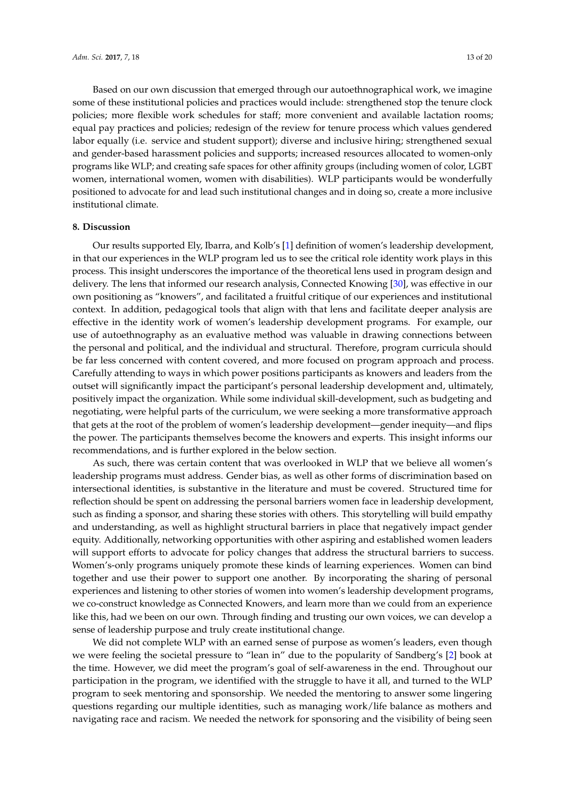Based on our own discussion that emerged through our autoethnographical work, we imagine some of these institutional policies and practices would include: strengthened stop the tenure clock policies; more flexible work schedules for staff; more convenient and available lactation rooms; equal pay practices and policies; redesign of the review for tenure process which values gendered labor equally (i.e. service and student support); diverse and inclusive hiring; strengthened sexual and gender-based harassment policies and supports; increased resources allocated to women-only programs like WLP; and creating safe spaces for other affinity groups (including women of color, LGBT women, international women, women with disabilities). WLP participants would be wonderfully positioned to advocate for and lead such institutional changes and in doing so, create a more inclusive institutional climate.

# **8. Discussion**

Our results supported Ely, Ibarra, and Kolb's [\[1\]](#page-17-0) definition of women's leadership development, in that our experiences in the WLP program led us to see the critical role identity work plays in this process. This insight underscores the importance of the theoretical lens used in program design and delivery. The lens that informed our research analysis, Connected Knowing [\[30\]](#page-18-21), was effective in our own positioning as "knowers", and facilitated a fruitful critique of our experiences and institutional context. In addition, pedagogical tools that align with that lens and facilitate deeper analysis are effective in the identity work of women's leadership development programs. For example, our use of autoethnography as an evaluative method was valuable in drawing connections between the personal and political, and the individual and structural. Therefore, program curricula should be far less concerned with content covered, and more focused on program approach and process. Carefully attending to ways in which power positions participants as knowers and leaders from the outset will significantly impact the participant's personal leadership development and, ultimately, positively impact the organization. While some individual skill-development, such as budgeting and negotiating, were helpful parts of the curriculum, we were seeking a more transformative approach that gets at the root of the problem of women's leadership development—gender inequity—and flips the power. The participants themselves become the knowers and experts. This insight informs our recommendations, and is further explored in the below section.

As such, there was certain content that was overlooked in WLP that we believe all women's leadership programs must address. Gender bias, as well as other forms of discrimination based on intersectional identities, is substantive in the literature and must be covered. Structured time for reflection should be spent on addressing the personal barriers women face in leadership development, such as finding a sponsor, and sharing these stories with others. This storytelling will build empathy and understanding, as well as highlight structural barriers in place that negatively impact gender equity. Additionally, networking opportunities with other aspiring and established women leaders will support efforts to advocate for policy changes that address the structural barriers to success. Women's-only programs uniquely promote these kinds of learning experiences. Women can bind together and use their power to support one another. By incorporating the sharing of personal experiences and listening to other stories of women into women's leadership development programs, we co-construct knowledge as Connected Knowers, and learn more than we could from an experience like this, had we been on our own. Through finding and trusting our own voices, we can develop a sense of leadership purpose and truly create institutional change.

We did not complete WLP with an earned sense of purpose as women's leaders, even though we were feeling the societal pressure to "lean in" due to the popularity of Sandberg's [\[2\]](#page-17-1) book at the time. However, we did meet the program's goal of self-awareness in the end. Throughout our participation in the program, we identified with the struggle to have it all, and turned to the WLP program to seek mentoring and sponsorship. We needed the mentoring to answer some lingering questions regarding our multiple identities, such as managing work/life balance as mothers and navigating race and racism. We needed the network for sponsoring and the visibility of being seen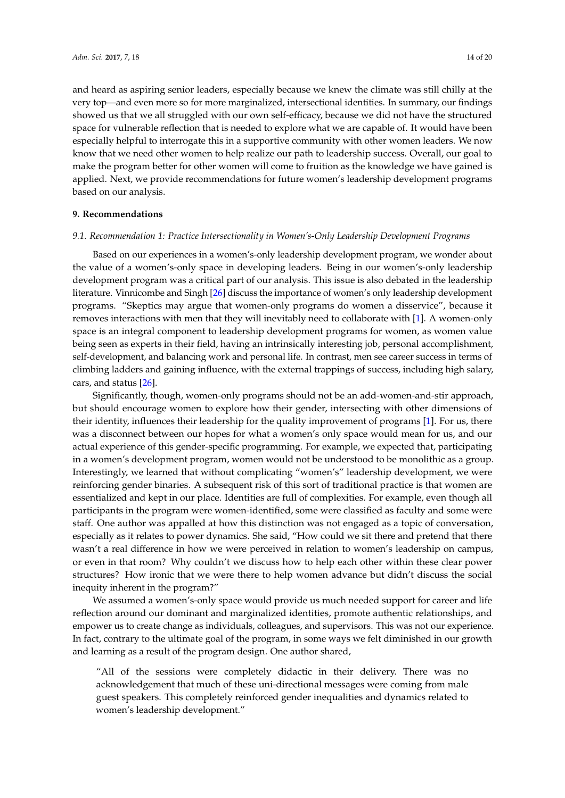and heard as aspiring senior leaders, especially because we knew the climate was still chilly at the very top—and even more so for more marginalized, intersectional identities. In summary, our findings showed us that we all struggled with our own self-efficacy, because we did not have the structured space for vulnerable reflection that is needed to explore what we are capable of. It would have been especially helpful to interrogate this in a supportive community with other women leaders. We now know that we need other women to help realize our path to leadership success. Overall, our goal to make the program better for other women will come to fruition as the knowledge we have gained is applied. Next, we provide recommendations for future women's leadership development programs based on our analysis.

### **9. Recommendations**

## *9.1. Recommendation 1: Practice Intersectionality in Women's-Only Leadership Development Programs*

Based on our experiences in a women's-only leadership development program, we wonder about the value of a women's-only space in developing leaders. Being in our women's-only leadership development program was a critical part of our analysis. This issue is also debated in the leadership literature. Vinnicombe and Singh [\[26\]](#page-18-17) discuss the importance of women's only leadership development programs. "Skeptics may argue that women-only programs do women a disservice", because it removes interactions with men that they will inevitably need to collaborate with [\[1\]](#page-17-0). A women-only space is an integral component to leadership development programs for women, as women value being seen as experts in their field, having an intrinsically interesting job, personal accomplishment, self-development, and balancing work and personal life. In contrast, men see career success in terms of climbing ladders and gaining influence, with the external trappings of success, including high salary, cars, and status [\[26\]](#page-18-17).

Significantly, though, women-only programs should not be an add-women-and-stir approach, but should encourage women to explore how their gender, intersecting with other dimensions of their identity, influences their leadership for the quality improvement of programs [\[1\]](#page-17-0). For us, there was a disconnect between our hopes for what a women's only space would mean for us, and our actual experience of this gender-specific programming. For example, we expected that, participating in a women's development program, women would not be understood to be monolithic as a group. Interestingly, we learned that without complicating "women's" leadership development, we were reinforcing gender binaries. A subsequent risk of this sort of traditional practice is that women are essentialized and kept in our place. Identities are full of complexities. For example, even though all participants in the program were women-identified, some were classified as faculty and some were staff. One author was appalled at how this distinction was not engaged as a topic of conversation, especially as it relates to power dynamics. She said, "How could we sit there and pretend that there wasn't a real difference in how we were perceived in relation to women's leadership on campus, or even in that room? Why couldn't we discuss how to help each other within these clear power structures? How ironic that we were there to help women advance but didn't discuss the social inequity inherent in the program?"

We assumed a women's-only space would provide us much needed support for career and life reflection around our dominant and marginalized identities, promote authentic relationships, and empower us to create change as individuals, colleagues, and supervisors. This was not our experience. In fact, contrary to the ultimate goal of the program, in some ways we felt diminished in our growth and learning as a result of the program design. One author shared,

"All of the sessions were completely didactic in their delivery. There was no acknowledgement that much of these uni-directional messages were coming from male guest speakers. This completely reinforced gender inequalities and dynamics related to women's leadership development."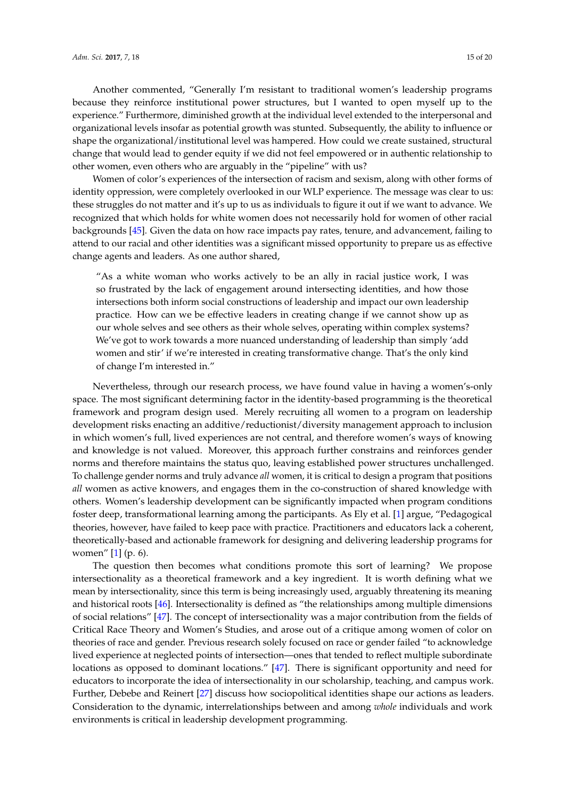Another commented, "Generally I'm resistant to traditional women's leadership programs because they reinforce institutional power structures, but I wanted to open myself up to the experience." Furthermore, diminished growth at the individual level extended to the interpersonal and organizational levels insofar as potential growth was stunted. Subsequently, the ability to influence or shape the organizational/institutional level was hampered. How could we create sustained, structural change that would lead to gender equity if we did not feel empowered or in authentic relationship to other women, even others who are arguably in the "pipeline" with us?

Women of color's experiences of the intersection of racism and sexism, along with other forms of identity oppression, were completely overlooked in our WLP experience. The message was clear to us: these struggles do not matter and it's up to us as individuals to figure it out if we want to advance. We recognized that which holds for white women does not necessarily hold for women of other racial backgrounds [\[45\]](#page-19-12). Given the data on how race impacts pay rates, tenure, and advancement, failing to attend to our racial and other identities was a significant missed opportunity to prepare us as effective change agents and leaders. As one author shared,

"As a white woman who works actively to be an ally in racial justice work, I was so frustrated by the lack of engagement around intersecting identities, and how those intersections both inform social constructions of leadership and impact our own leadership practice. How can we be effective leaders in creating change if we cannot show up as our whole selves and see others as their whole selves, operating within complex systems? We've got to work towards a more nuanced understanding of leadership than simply 'add women and stir' if we're interested in creating transformative change. That's the only kind of change I'm interested in."

Nevertheless, through our research process, we have found value in having a women's-only space. The most significant determining factor in the identity-based programming is the theoretical framework and program design used. Merely recruiting all women to a program on leadership development risks enacting an additive/reductionist/diversity management approach to inclusion in which women's full, lived experiences are not central, and therefore women's ways of knowing and knowledge is not valued. Moreover, this approach further constrains and reinforces gender norms and therefore maintains the status quo, leaving established power structures unchallenged. To challenge gender norms and truly advance *all* women, it is critical to design a program that positions *all* women as active knowers, and engages them in the co-construction of shared knowledge with others. Women's leadership development can be significantly impacted when program conditions foster deep, transformational learning among the participants. As Ely et al. [\[1\]](#page-17-0) argue, "Pedagogical theories, however, have failed to keep pace with practice. Practitioners and educators lack a coherent, theoretically-based and actionable framework for designing and delivering leadership programs for women" [\[1\]](#page-17-0) (p. 6).

The question then becomes what conditions promote this sort of learning? We propose intersectionality as a theoretical framework and a key ingredient. It is worth defining what we mean by intersectionality, since this term is being increasingly used, arguably threatening its meaning and historical roots [\[46\]](#page-19-13). Intersectionality is defined as "the relationships among multiple dimensions of social relations" [\[47\]](#page-19-14). The concept of intersectionality was a major contribution from the fields of Critical Race Theory and Women's Studies, and arose out of a critique among women of color on theories of race and gender. Previous research solely focused on race or gender failed "to acknowledge lived experience at neglected points of intersection—ones that tended to reflect multiple subordinate locations as opposed to dominant locations." [\[47\]](#page-19-14). There is significant opportunity and need for educators to incorporate the idea of intersectionality in our scholarship, teaching, and campus work. Further, Debebe and Reinert [\[27\]](#page-18-18) discuss how sociopolitical identities shape our actions as leaders. Consideration to the dynamic, interrelationships between and among *whole* individuals and work environments is critical in leadership development programming.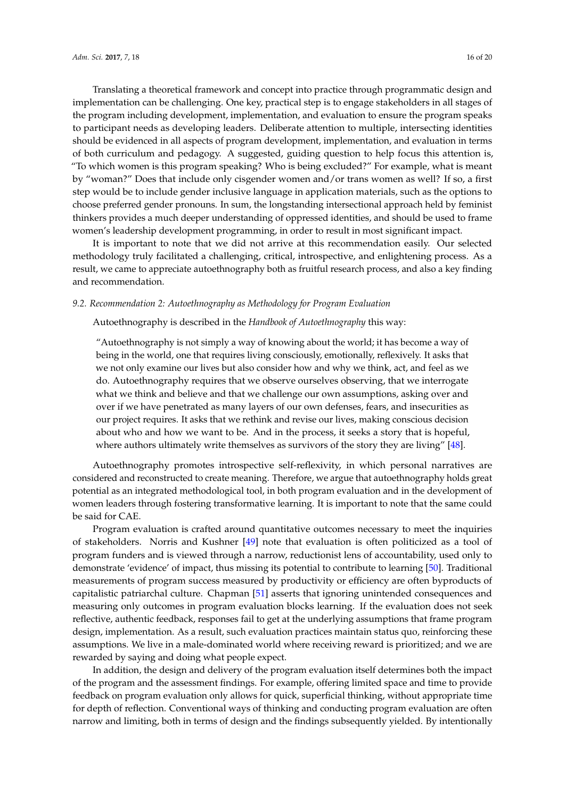Translating a theoretical framework and concept into practice through programmatic design and implementation can be challenging. One key, practical step is to engage stakeholders in all stages of the program including development, implementation, and evaluation to ensure the program speaks to participant needs as developing leaders. Deliberate attention to multiple, intersecting identities should be evidenced in all aspects of program development, implementation, and evaluation in terms of both curriculum and pedagogy. A suggested, guiding question to help focus this attention is, "To which women is this program speaking? Who is being excluded?" For example, what is meant by "woman?" Does that include only cisgender women and/or trans women as well? If so, a first step would be to include gender inclusive language in application materials, such as the options to choose preferred gender pronouns. In sum, the longstanding intersectional approach held by feminist thinkers provides a much deeper understanding of oppressed identities, and should be used to frame women's leadership development programming, in order to result in most significant impact.

It is important to note that we did not arrive at this recommendation easily. Our selected methodology truly facilitated a challenging, critical, introspective, and enlightening process. As a result, we came to appreciate autoethnography both as fruitful research process, and also a key finding and recommendation.

# *9.2. Recommendation 2: Autoethnography as Methodology for Program Evaluation*

Autoethnography is described in the *Handbook of Autoethnography* this way:

"Autoethnography is not simply a way of knowing about the world; it has become a way of being in the world, one that requires living consciously, emotionally, reflexively. It asks that we not only examine our lives but also consider how and why we think, act, and feel as we do. Autoethnography requires that we observe ourselves observing, that we interrogate what we think and believe and that we challenge our own assumptions, asking over and over if we have penetrated as many layers of our own defenses, fears, and insecurities as our project requires. It asks that we rethink and revise our lives, making conscious decision about who and how we want to be. And in the process, it seeks a story that is hopeful, where authors ultimately write themselves as survivors of the story they are living" [\[48\]](#page-19-15).

Autoethnography promotes introspective self-reflexivity, in which personal narratives are considered and reconstructed to create meaning. Therefore, we argue that autoethnography holds great potential as an integrated methodological tool, in both program evaluation and in the development of women leaders through fostering transformative learning. It is important to note that the same could be said for CAE.

Program evaluation is crafted around quantitative outcomes necessary to meet the inquiries of stakeholders. Norris and Kushner [\[49\]](#page-19-16) note that evaluation is often politicized as a tool of program funders and is viewed through a narrow, reductionist lens of accountability, used only to demonstrate 'evidence' of impact, thus missing its potential to contribute to learning [\[50\]](#page-19-17). Traditional measurements of program success measured by productivity or efficiency are often byproducts of capitalistic patriarchal culture. Chapman [\[51\]](#page-19-18) asserts that ignoring unintended consequences and measuring only outcomes in program evaluation blocks learning. If the evaluation does not seek reflective, authentic feedback, responses fail to get at the underlying assumptions that frame program design, implementation. As a result, such evaluation practices maintain status quo, reinforcing these assumptions. We live in a male-dominated world where receiving reward is prioritized; and we are rewarded by saying and doing what people expect.

In addition, the design and delivery of the program evaluation itself determines both the impact of the program and the assessment findings. For example, offering limited space and time to provide feedback on program evaluation only allows for quick, superficial thinking, without appropriate time for depth of reflection. Conventional ways of thinking and conducting program evaluation are often narrow and limiting, both in terms of design and the findings subsequently yielded. By intentionally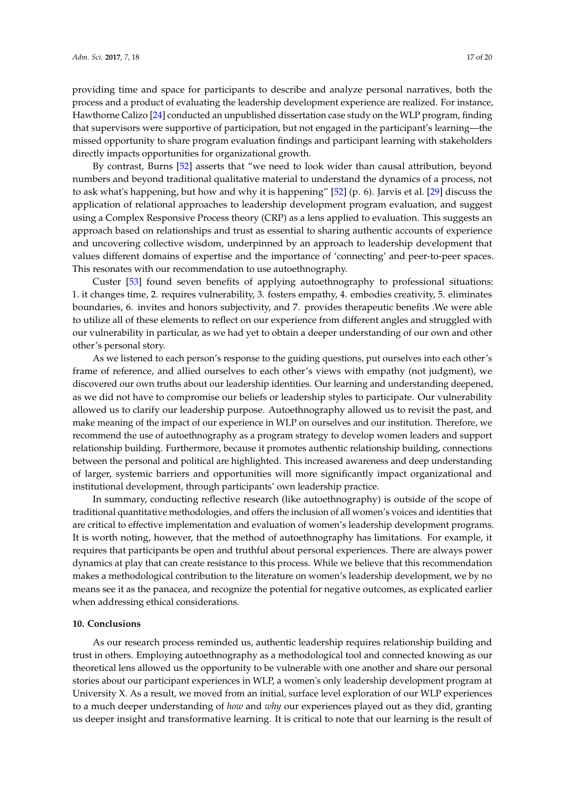providing time and space for participants to describe and analyze personal narratives, both the process and a product of evaluating the leadership development experience are realized. For instance, Hawthorne Calizo [\[24\]](#page-18-15) conducted an unpublished dissertation case study on the WLP program, finding that supervisors were supportive of participation, but not engaged in the participant's learning—the missed opportunity to share program evaluation findings and participant learning with stakeholders directly impacts opportunities for organizational growth.

By contrast, Burns [\[52\]](#page-19-19) asserts that "we need to look wider than causal attribution, beyond numbers and beyond traditional qualitative material to understand the dynamics of a process, not to ask what's happening, but how and why it is happening" [\[52\]](#page-19-19) (p. 6). Jarvis et al. [\[29\]](#page-18-20) discuss the application of relational approaches to leadership development program evaluation, and suggest using a Complex Responsive Process theory (CRP) as a lens applied to evaluation. This suggests an approach based on relationships and trust as essential to sharing authentic accounts of experience and uncovering collective wisdom, underpinned by an approach to leadership development that values different domains of expertise and the importance of 'connecting' and peer-to-peer spaces. This resonates with our recommendation to use autoethnography.

Custer [\[53\]](#page-19-20) found seven benefits of applying autoethnography to professional situations: 1. it changes time, 2. requires vulnerability, 3. fosters empathy, 4. embodies creativity, 5. eliminates boundaries, 6. invites and honors subjectivity, and 7. provides therapeutic benefits .We were able to utilize all of these elements to reflect on our experience from different angles and struggled with our vulnerability in particular, as we had yet to obtain a deeper understanding of our own and other other's personal story.

As we listened to each person's response to the guiding questions, put ourselves into each other's frame of reference, and allied ourselves to each other's views with empathy (not judgment), we discovered our own truths about our leadership identities. Our learning and understanding deepened, as we did not have to compromise our beliefs or leadership styles to participate. Our vulnerability allowed us to clarify our leadership purpose. Autoethnography allowed us to revisit the past, and make meaning of the impact of our experience in WLP on ourselves and our institution. Therefore, we recommend the use of autoethnography as a program strategy to develop women leaders and support relationship building. Furthermore, because it promotes authentic relationship building, connections between the personal and political are highlighted. This increased awareness and deep understanding of larger, systemic barriers and opportunities will more significantly impact organizational and institutional development, through participants' own leadership practice.

In summary, conducting reflective research (like autoethnography) is outside of the scope of traditional quantitative methodologies, and offers the inclusion of all women's voices and identities that are critical to effective implementation and evaluation of women's leadership development programs. It is worth noting, however, that the method of autoethnography has limitations. For example, it requires that participants be open and truthful about personal experiences. There are always power dynamics at play that can create resistance to this process. While we believe that this recommendation makes a methodological contribution to the literature on women's leadership development, we by no means see it as the panacea, and recognize the potential for negative outcomes, as explicated earlier when addressing ethical considerations.

### **10. Conclusions**

As our research process reminded us, authentic leadership requires relationship building and trust in others. Employing autoethnography as a methodological tool and connected knowing as our theoretical lens allowed us the opportunity to be vulnerable with one another and share our personal stories about our participant experiences in WLP, a women's only leadership development program at University X. As a result, we moved from an initial, surface level exploration of our WLP experiences to a much deeper understanding of *how* and *why* our experiences played out as they did, granting us deeper insight and transformative learning. It is critical to note that our learning is the result of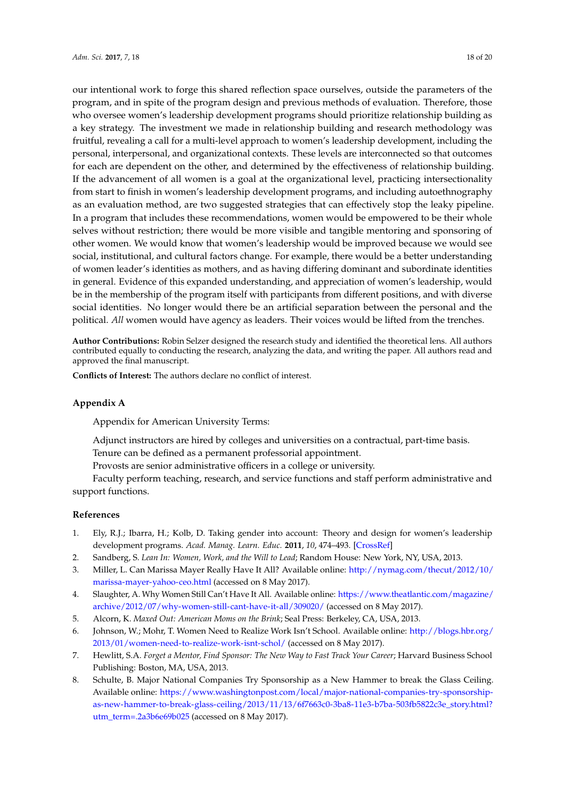our intentional work to forge this shared reflection space ourselves, outside the parameters of the program, and in spite of the program design and previous methods of evaluation. Therefore, those who oversee women's leadership development programs should prioritize relationship building as a key strategy. The investment we made in relationship building and research methodology was fruitful, revealing a call for a multi-level approach to women's leadership development, including the personal, interpersonal, and organizational contexts. These levels are interconnected so that outcomes for each are dependent on the other, and determined by the effectiveness of relationship building. If the advancement of all women is a goal at the organizational level, practicing intersectionality from start to finish in women's leadership development programs, and including autoethnography as an evaluation method, are two suggested strategies that can effectively stop the leaky pipeline. In a program that includes these recommendations, women would be empowered to be their whole selves without restriction; there would be more visible and tangible mentoring and sponsoring of other women. We would know that women's leadership would be improved because we would see social, institutional, and cultural factors change. For example, there would be a better understanding of women leader's identities as mothers, and as having differing dominant and subordinate identities in general. Evidence of this expanded understanding, and appreciation of women's leadership, would be in the membership of the program itself with participants from different positions, and with diverse social identities. No longer would there be an artificial separation between the personal and the political. *All* women would have agency as leaders. Their voices would be lifted from the trenches.

**Author Contributions:** Robin Selzer designed the research study and identified the theoretical lens. All authors contributed equally to conducting the research, analyzing the data, and writing the paper. All authors read and approved the final manuscript.

**Conflicts of Interest:** The authors declare no conflict of interest.

# **Appendix A**

Appendix for American University Terms:

Adjunct instructors are hired by colleges and universities on a contractual, part-time basis. Tenure can be defined as a permanent professorial appointment.

Provosts are senior administrative officers in a college or university.

Faculty perform teaching, research, and service functions and staff perform administrative and support functions.

### **References**

- <span id="page-17-0"></span>1. Ely, R.J.; Ibarra, H.; Kolb, D. Taking gender into account: Theory and design for women's leadership development programs. *Acad. Manag. Learn. Educ.* **2011**, *10*, 474–493. [\[CrossRef\]](http://dx.doi.org/10.5465/amle.2010.0046)
- <span id="page-17-1"></span>2. Sandberg, S. *Lean In: Women, Work, and the Will to Lead*; Random House: New York, NY, USA, 2013.
- <span id="page-17-2"></span>3. Miller, L. Can Marissa Mayer Really Have It All? Available online: [http://nymag.com/thecut/2012/10/](http://nymag.com/thecut/2012/10/marissa-mayer-yahoo-ceo.html) [marissa-mayer-yahoo-ceo.html](http://nymag.com/thecut/2012/10/marissa-mayer-yahoo-ceo.html) (accessed on 8 May 2017).
- <span id="page-17-3"></span>4. Slaughter, A. Why Women Still Can't Have It All. Available online: [https://www.theatlantic.com/magazine/](https://www.theatlantic.com/magazine/archive/2012/07/why-women-still-cant-have-it-all/309020/) [archive/2012/07/why-women-still-cant-have-it-all/309020/](https://www.theatlantic.com/magazine/archive/2012/07/why-women-still-cant-have-it-all/309020/) (accessed on 8 May 2017).
- <span id="page-17-4"></span>5. Alcorn, K. *Maxed Out: American Moms on the Brink*; Seal Press: Berkeley, CA, USA, 2013.
- <span id="page-17-5"></span>6. Johnson, W.; Mohr, T. Women Need to Realize Work Isn't School. Available online: [http://blogs.hbr.org/](http://blogs.hbr.org/2013/01/women-need-to-realize-work-isnt-schol/) [2013/01/women-need-to-realize-work-isnt-schol/](http://blogs.hbr.org/2013/01/women-need-to-realize-work-isnt-schol/) (accessed on 8 May 2017).
- <span id="page-17-6"></span>7. Hewlitt, S.A. *Forget a Mentor, Find Sponsor: The New Way to Fast Track Your Career*; Harvard Business School Publishing: Boston, MA, USA, 2013.
- <span id="page-17-7"></span>8. Schulte, B. Major National Companies Try Sponsorship as a New Hammer to break the Glass Ceiling. Available online: [https://www.washingtonpost.com/local/major-national-companies-try-sponsorship](https://www.washingtonpost.com/local/major-national-companies-try-sponsorship-as-new-hammer-to-break-glass-ceiling/2013/11/13/6f7663c0-3ba8-11e3-b7ba-503fb5822c3e_story.html?utm_term=.2a3b6e69b025)[as-new-hammer-to-break-glass-ceiling/2013/11/13/6f7663c0-3ba8-11e3-b7ba-503fb5822c3e\\_story.html?](https://www.washingtonpost.com/local/major-national-companies-try-sponsorship-as-new-hammer-to-break-glass-ceiling/2013/11/13/6f7663c0-3ba8-11e3-b7ba-503fb5822c3e_story.html?utm_term=.2a3b6e69b025) [utm\\_term=.2a3b6e69b025](https://www.washingtonpost.com/local/major-national-companies-try-sponsorship-as-new-hammer-to-break-glass-ceiling/2013/11/13/6f7663c0-3ba8-11e3-b7ba-503fb5822c3e_story.html?utm_term=.2a3b6e69b025) (accessed on 8 May 2017).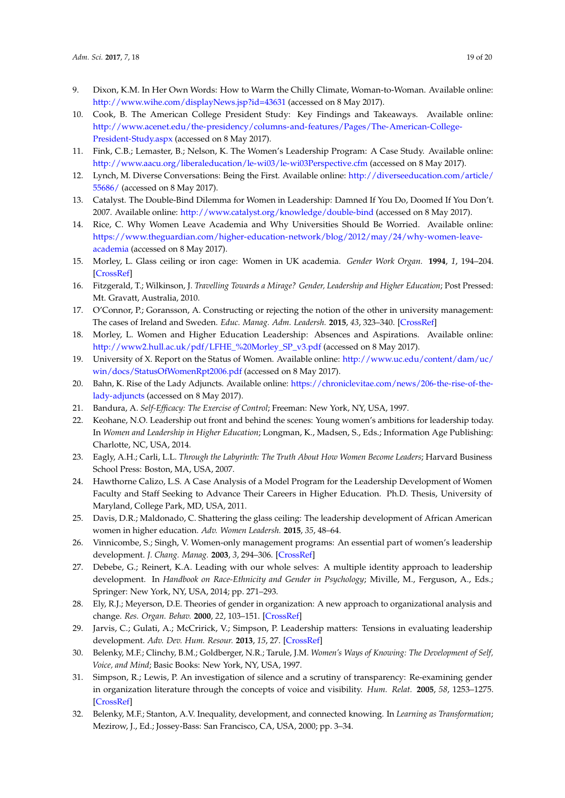- <span id="page-18-0"></span>9. Dixon, K.M. In Her Own Words: How to Warm the Chilly Climate, Woman-to-Woman. Available online: <http://www.wihe.com/displayNews.jsp?id=43631> (accessed on 8 May 2017).
- <span id="page-18-1"></span>10. Cook, B. The American College President Study: Key Findings and Takeaways. Available online: [http://www.acenet.edu/the-presidency/columns-and-features/Pages/The-American-College-](http://www.acenet.edu/the-presidency/columns-and-features/Pages/The-American-College-President-Study.aspx)[President-Study.aspx](http://www.acenet.edu/the-presidency/columns-and-features/Pages/The-American-College-President-Study.aspx) (accessed on 8 May 2017).
- <span id="page-18-2"></span>11. Fink, C.B.; Lemaster, B.; Nelson, K. The Women's Leadership Program: A Case Study. Available online: <http://www.aacu.org/liberaleducation/le-wi03/le-wi03Perspective.cfm> (accessed on 8 May 2017).
- <span id="page-18-3"></span>12. Lynch, M. Diverse Conversations: Being the First. Available online: [http://diverseeducation.com/article/](http://diverseeducation.com/article/55686/) [55686/](http://diverseeducation.com/article/55686/) (accessed on 8 May 2017).
- <span id="page-18-4"></span>13. Catalyst. The Double-Bind Dilemma for Women in Leadership: Damned If You Do, Doomed If You Don't. 2007. Available online: <http://www.catalyst.org/knowledge/double-bind> (accessed on 8 May 2017).
- <span id="page-18-5"></span>14. Rice, C. Why Women Leave Academia and Why Universities Should Be Worried. Available online: [https://www.theguardian.com/higher-education-network/blog/2012/may/24/why-women-leave](https://www.theguardian.com/higher-education-network/blog/2012/may/24/why-women-leave-academia)[academia](https://www.theguardian.com/higher-education-network/blog/2012/may/24/why-women-leave-academia) (accessed on 8 May 2017).
- <span id="page-18-6"></span>15. Morley, L. Glass ceiling or iron cage: Women in UK academia. *Gender Work Organ.* **1994**, *1*, 194–204. [\[CrossRef\]](http://dx.doi.org/10.1111/j.1468-0432.1994.tb00018.x)
- <span id="page-18-7"></span>16. Fitzgerald, T.; Wilkinson, J. *Travelling Towards a Mirage? Gender, Leadership and Higher Education*; Post Pressed: Mt. Gravatt, Australia, 2010.
- <span id="page-18-8"></span>17. O'Connor, P.; Goransson, A. Constructing or rejecting the notion of the other in university management: The cases of Ireland and Sweden. *Educ. Manag. Adm. Leadersh.* **2015**, *43*, 323–340. [\[CrossRef\]](http://dx.doi.org/10.1177/1741143214523015)
- <span id="page-18-9"></span>18. Morley, L. Women and Higher Education Leadership: Absences and Aspirations. Available online: [http://www2.hull.ac.uk/pdf/LFHE\\_%20Morley\\_SP\\_v3.pdf](http://www2.hull.ac.uk/pdf/LFHE_%20Morley_SP_v3.pdf) (accessed on 8 May 2017).
- <span id="page-18-10"></span>19. University of X. Report on the Status of Women. Available online: [http://www.uc.edu/content/dam/uc/](http://www.uc.edu/content/dam/uc/win/docs/StatusOfWomenRpt2006.pdf) [win/docs/StatusOfWomenRpt2006.pdf](http://www.uc.edu/content/dam/uc/win/docs/StatusOfWomenRpt2006.pdf) (accessed on 8 May 2017).
- <span id="page-18-11"></span>20. Bahn, K. Rise of the Lady Adjuncts. Available online: [https://chroniclevitae.com/news/206-the-rise-of-the](https://chroniclevitae.com/news/206-the-rise-of-the-lady-adjuncts)[lady-adjuncts](https://chroniclevitae.com/news/206-the-rise-of-the-lady-adjuncts) (accessed on 8 May 2017).
- <span id="page-18-12"></span>21. Bandura, A. *Self-Efficacy: The Exercise of Control*; Freeman: New York, NY, USA, 1997.
- <span id="page-18-13"></span>22. Keohane, N.O. Leadership out front and behind the scenes: Young women's ambitions for leadership today. In *Women and Leadership in Higher Education*; Longman, K., Madsen, S., Eds.; Information Age Publishing: Charlotte, NC, USA, 2014.
- <span id="page-18-14"></span>23. Eagly, A.H.; Carli, L.L. *Through the Labyrinth: The Truth About How Women Become Leaders*; Harvard Business School Press: Boston, MA, USA, 2007.
- <span id="page-18-15"></span>24. Hawthorne Calizo, L.S. A Case Analysis of a Model Program for the Leadership Development of Women Faculty and Staff Seeking to Advance Their Careers in Higher Education. Ph.D. Thesis, University of Maryland, College Park, MD, USA, 2011.
- <span id="page-18-16"></span>25. Davis, D.R.; Maldonado, C. Shattering the glass ceiling: The leadership development of African American women in higher education. *Adv. Women Leadersh.* **2015**, *35*, 48–64.
- <span id="page-18-17"></span>26. Vinnicombe, S.; Singh, V. Women-only management programs: An essential part of women's leadership development. *J. Chang. Manag.* **2003**, *3*, 294–306. [\[CrossRef\]](http://dx.doi.org/10.1080/714023846)
- <span id="page-18-18"></span>27. Debebe, G.; Reinert, K.A. Leading with our whole selves: A multiple identity approach to leadership development. In *Handbook on Race-Ethnicity and Gender in Psychology*; Miville, M., Ferguson, A., Eds.; Springer: New York, NY, USA, 2014; pp. 271–293.
- <span id="page-18-19"></span>28. Ely, R.J.; Meyerson, D.E. Theories of gender in organization: A new approach to organizational analysis and change. *Res. Organ. Behav.* **2000**, *22*, 103–151. [\[CrossRef\]](http://dx.doi.org/10.1016/S0191-3085(00)22004-2)
- <span id="page-18-20"></span>29. Jarvis, C.; Gulati, A.; McCririck, V.; Simpson, P. Leadership matters: Tensions in evaluating leadership development. *Adv. Dev. Hum. Resour.* **2013**, *15*, 27. [\[CrossRef\]](http://dx.doi.org/10.1177/1523422312467138)
- <span id="page-18-21"></span>30. Belenky, M.F.; Clinchy, B.M.; Goldberger, N.R.; Tarule, J.M. *Women's Ways of Knowing: The Development of Self, Voice, and Mind*; Basic Books: New York, NY, USA, 1997.
- <span id="page-18-22"></span>31. Simpson, R.; Lewis, P. An investigation of silence and a scrutiny of transparency: Re-examining gender in organization literature through the concepts of voice and visibility. *Hum. Relat.* **2005**, *58*, 1253–1275. [\[CrossRef\]](http://dx.doi.org/10.1177/0018726705058940)
- <span id="page-18-23"></span>32. Belenky, M.F.; Stanton, A.V. Inequality, development, and connected knowing. In *Learning as Transformation*; Mezirow, J., Ed.; Jossey-Bass: San Francisco, CA, USA, 2000; pp. 3–34.